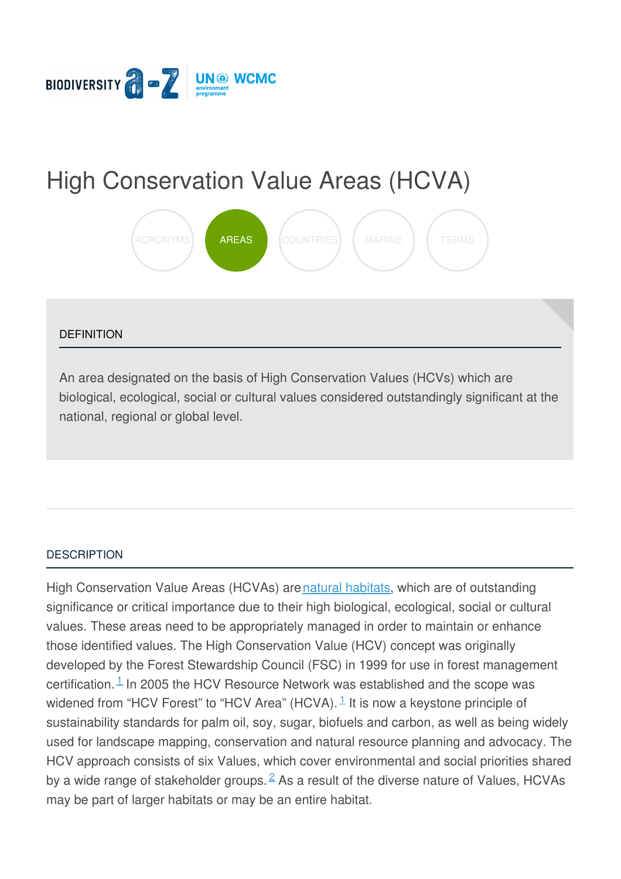

# High [Conservation](https://biodiversitya-z.org/content/high-conservation-value-areas-hcva) Value Areas (HCVA)



#### **DEFINITION**

An area designated on the basis of High Conservation Values (HCVs) which are biological, ecological, social or cultural values considered outstandingly significant at the national, regional or global level.

#### **[DESCRIPTION](javascript:void(0))**

High Conservation Value Areas (HCVAs) arenatural [habitats](http://biodiversitya-z.org/content/natural-habitats), which are of outstanding significance or critical importance due to their high biological, ecological, social or cultural values. These areas need to be appropriately managed in order to maintain or enhance those identified values. The High Conservation Value (HCV) concept was originally developed by the Forest Stewardship Council (FSC) in 1999 for use in forest management certification. $1$  In 2005 the HCV Resource Network was established and the scope was widened from "HCV Forest" to "HCV Area" (HCVA).  $\frac{1}{1}$  $\frac{1}{1}$  $\frac{1}{1}$  It is now a keystone principle of sustainability standards for palm oil, soy, sugar, biofuels and carbon, as well as being widely used for landscape mapping, conservation and natural resource planning and advocacy. The HCV approach consists of six Values, which cover environmental and social priorities s[hared](file:///tmp/.page-wrap.with-gradient) by a wide range of stakeholder groups.  $\stackrel{2}{\sim}$  $\stackrel{2}{\sim}$  $\stackrel{2}{\sim}$  As a result of the diverse nature of Values, HCVAs may be part of larger habitats or may be an entire habitat.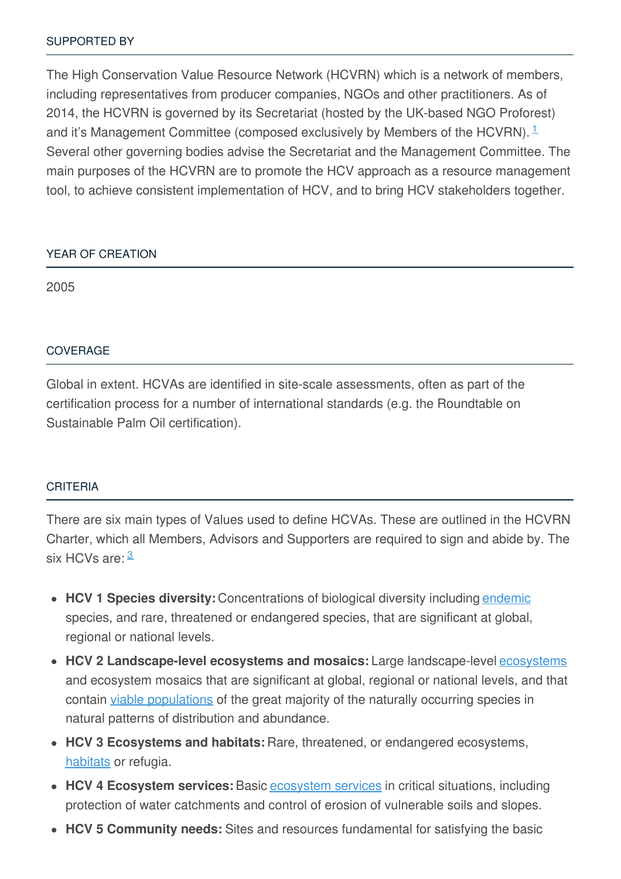The High Conservation Value Resource Network (HCVRN) which is a network of members, including representatives from producer companies, NGOs and other practitioners. As of 2014, the HCVRN is governed by its Secretariat (hosted by the UK-based NGO Proforest) and it's Management Committee (composed exclusively by Members of the HCVRN).  $1$ Several other governing bodies advise the Secretariat and the Management Committee. The main purposes of the HCVRN are to promote the HCV approach as a resource management tool, to achieve consistent implementation of HCV, and to bring HCV stakeholders together.

## YEAR OF [CREATION](javascript:void(0))

2005

#### [COVERAGE](javascript:void(0))

Global in extent. HCVAs are identified in site-scale assessments, often as part of the certification process for a number of international standards (e.g. the Roundtable on Sustainable Palm Oil certification).

#### [CRITERIA](javascript:void(0))

There are six main types of Values used to define HCVAs. These are outlined in the HCVRN Charter, which all Members, Advisors and Supporters are required to sign and abide by. The six HCVs are: <sup>[3](#page-3-2)</sup>

- **HCV 1 Species diversity:** Concentrations of biological diversity including [endemic](http://biodiversitya-z.org/content/endemism) species, and rare, threatened or endangered species, that are significant at global, regional or national levels.
- **HCV 2 Landscape-level ecosystems and mosaics:** Large landscape-level [ecosystems](http://biodiversitya-z.org/content/ecosystem) and ecosystem mosaics that are significant at global, regional or national levels, and that contain viable [populations](http://biodiversitya-z.org/content/viable-population) of the great majority of the naturally occurring species in natural patterns of distribution and abundance.
- **HCV 3 Ecosystems and habitats:** Rare, threatened, or endangered ecosystems, [habitats](http://biodiversitya-z.org/content/habitat) or refugia.
- **HCV 4 Ecosystem services:** Basic [ecosystem](http://biodiversitya-z.org/content/ecosystem-services) services in critical situations, including protection of water catchments and control of erosion of vulnerable soils and slopes.
- **HCV 5 Community needs:** Sites and resources fundamental for satisfying the basic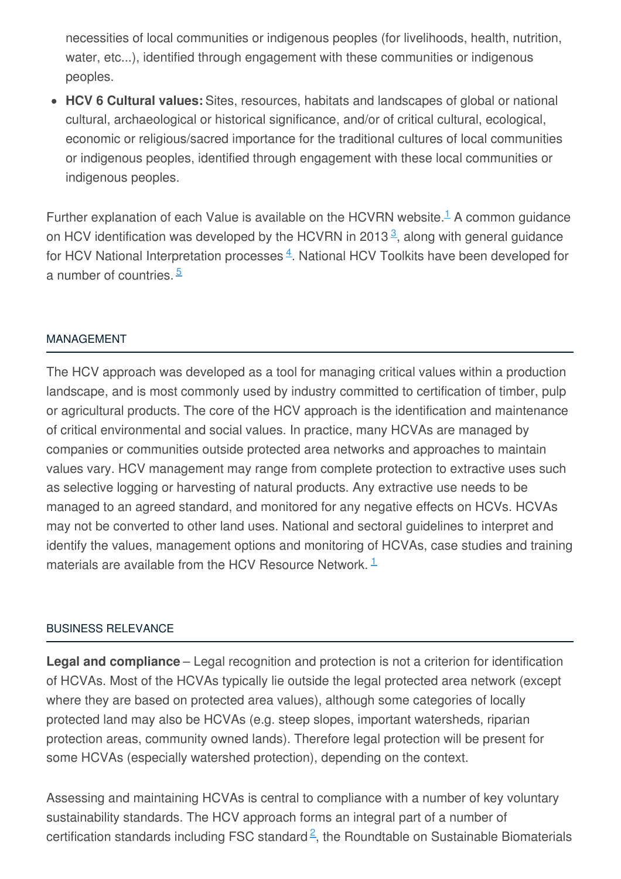necessities of local communities or indigenous peoples (for livelihoods, health, nutrition, water, etc...), identified through engagement with these communities or indigenous peoples.

**HCV 6 Cultural values:** Sites, resources, habitats and landscapes of global or national cultural, archaeological or historical significance, and/or of critical cultural, ecological, economic or religious/sacred importance for the traditional cultures of local communities or indigenous peoples, identified through engagement with these local communities or indigenous peoples.

Further explanation of each Value is available on the HCVRN website. $<sup>1</sup>$  $<sup>1</sup>$  $<sup>1</sup>$  A common guidance</sup> on HCV identification was developed by the HCVRN in 201[3](#page-3-2) $\frac{3}{2}$ , along with general guidance for HCV National Interpretation processes  $4$ . National HCV Toolkits have been developed for a number of countries.<sup>[5](#page-3-4)</sup>

## [MANAGEMENT](javascript:void(0))

The HCV approach was developed as a tool for managing critical values within a production landscape, and is most commonly used by industry committed to certification of timber, pulp or agricultural products. The core of the HCV approach is the identification and maintenance of critical environmental and social values. In practice, many HCVAs are managed by companies or communities outside protected area networks and approaches to maintain values vary. HCV management may range from complete protection to extractive uses such as selective logging or harvesting of natural products. Any extractive use needs to be managed to an agreed standard, and monitored for any negative effects on HCVs. HCVAs may not be converted to other land uses. National and sectoral guidelines to interpret and identify the values, management options and monitoring of HCVAs, case studies and training materials are available from the HCV Resource Network.  $1$ 

#### BUSINESS [RELEVANCE](javascript:void(0))

**Legal and compliance** – Legal recognition and protection is not a criterion for identification of HCVAs. Most of the HCVAs typically lie outside the legal protected area network (except where they are based on protected area values), although some categories of locally protected land may also be HCVAs (e.g. steep slopes, important watersheds, riparian protection areas, community owned lands). Therefore legal protection will be present for some HCVAs (especially watershed protection), depending on the context.

Assessing and maintaining HCVAs is central to compliance with a number of key voluntary sustainability standards. The HCV approach forms an integral part of a number of certification standards including FSC standard $\frac{2}{5}$  $\frac{2}{5}$  $\frac{2}{5}$ , the Roundtable on Sustainable Biomaterials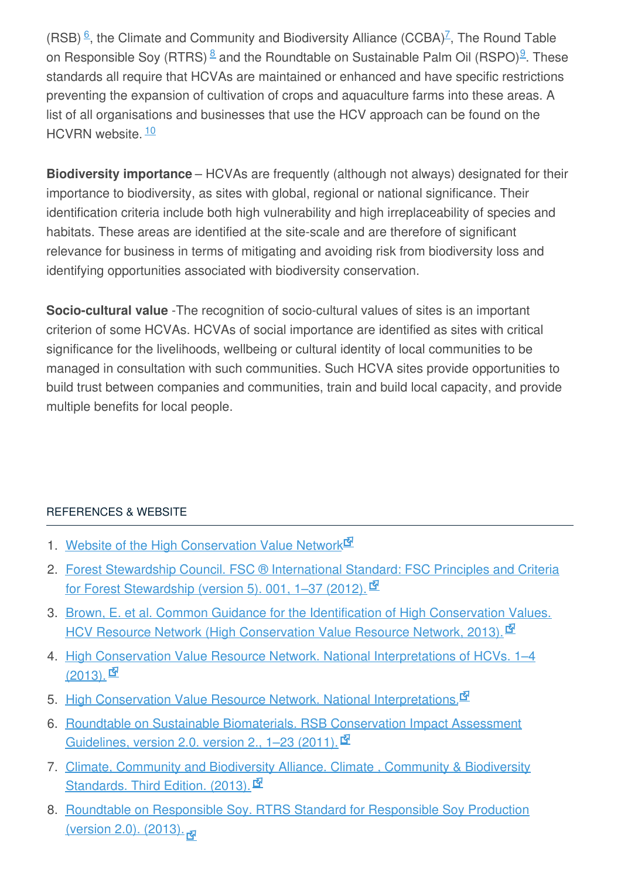(RSB)  $\frac{6}{5}$  $\frac{6}{5}$  $\frac{6}{5}$ , the Climate and Community and Biodiversity Alliance (CCBA)<sup> $Z$ </sup>, The Round Table on Responsible Soy (RTRS)  $8$  and the Roundtable on Sustainable Palm Oil (RSPO)<sup>[9](#page-4-0)</sup>. These standards all require that HCVAs are maintained or enhanced and have specific restrictions preventing the expansion of cultivation of crops and aquaculture farms into these areas. A list of all organisations and businesses that use the HCV approach can be found on the HCVRN website.<sup>[10](#page-4-1)</sup>

**Biodiversity importance** – HCVAs are frequently (although not always) designated for their importance to biodiversity, as sites with global, regional or national significance. Their identification criteria include both high vulnerability and high irreplaceability of species and habitats. These areas are identified at the site-scale and are therefore of significant relevance for business in terms of mitigating and avoiding risk from biodiversity loss and identifying opportunities associated with biodiversity conservation.

**Socio-cultural value** -The recognition of socio-cultural values of sites is an important criterion of some HCVAs. HCVAs of social importance are identified as sites with critical significance for the livelihoods, wellbeing or cultural identity of local communities to be managed in consultation with such communities. Such HCVA sites provide opportunities to build trust between companies and communities, train and build local capacity, and provide multiple benefits for local people.

# [REFERENCES](javascript:void(0)) & WEBSITE

- <span id="page-3-0"></span>1. Website of the High [Conservation](http://www.hcvnetwork.org/) Value Network<sup>EN</sup>
- <span id="page-3-1"></span>2. Forest Stewardship Council. FSC ® [International](https://ic.fsc.org/preview.fsc-std-01-001-v5-0-revised-principles-and-criteria-for-forest-stewardship.a-1780.pdf) Standard: FSC Principles and Criteria for Forest Stewardship (version 5). 001, 1-37 (2012).
- <span id="page-3-2"></span>3. Brown, E. et al. Common Guidance for the Identification of High Conservation Values. HCV Resource Network (High [Conservation](http://www.proforest.net/publication/bibliog.2013-10-09.9070543115) Value Resource Network, 2013).
- <span id="page-3-3"></span>4. High Conservation Value Resource Network. National [Interpretations](http://www.hcvnetwork.org/resources/global-hcv-toolkits/natinterp-red) of HCVs. 1-4  $(2013)$ .
- <span id="page-3-4"></span>5. High Conservation Value Resource Network. National [Interpretations.](http://www.hcvnetwork.org/resources/global-hcv-toolkits)
- <span id="page-3-5"></span>6. Roundtable on Sustainable Biomaterials. RSB [Conservation](http://rsb.org/pdfs/guidelines/11-02-21-RSB-GUI-01-007-01-(RSB-Conservation-Impact-Assessment-Guidelines).pdf) Impact Assessment Guidelines, version 2.0. version 2., 1-23 (2011).  $\mathbb{\mathbb{F}}$
- <span id="page-3-6"></span>7. Climate, Community and [Biodiversity](https://s3.amazonaws.com/CCBA/Third_Edition/CCB_Standards_Third_Edition_December_2013.pdf) Alliance. Climate , Community & Biodiversity Standards. Third Edition. (2013).
- <span id="page-3-7"></span>8. Roundtable on Responsible Soy. RTRS Standard for [Responsible](http://www.responsiblesoy.org/documentos/rtrs-standard-for-responsible-soy-production-pdf/) Soy Production (version 2.0). (2013).